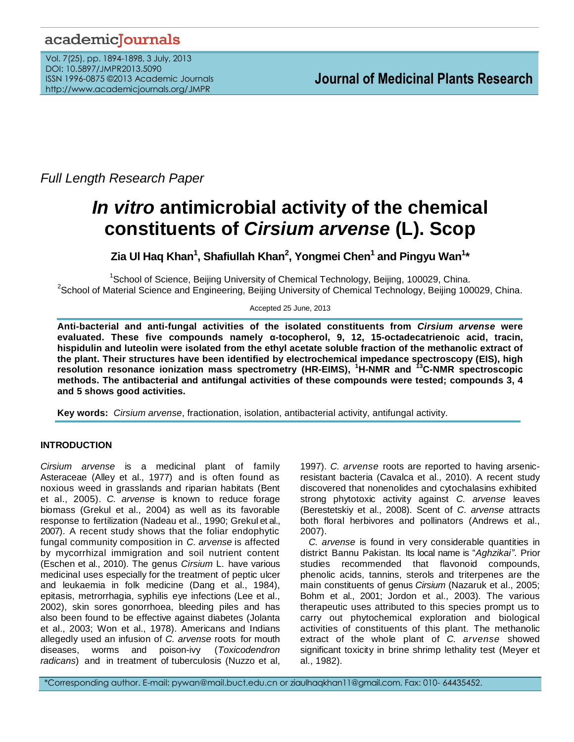## academicJournals

Vol. 7(25), pp. 1894-1898, 3 July, 2013 DOI: 10.5897/JMPR2013.5090 ISSN 1996-0875 ©2013 Academic Journals http://www.academicjournals.org/JMPR

*Full Length Research Paper*

# *In vitro* **antimicrobial activity of the chemical constituents of** *Cirsium arvense* **(L). Scop**

**Zia Ul Haq Khan<sup>1</sup> , Shafiullah Khan<sup>2</sup> , Yongmei Chen<sup>1</sup> and Pingyu Wan<sup>1</sup> \***

<sup>1</sup>School of Science, Beijing University of Chemical Technology, Beijing, 100029, China. <sup>2</sup>School of Material Science and Engineering, Beijing University of Chemical Technology, Beijing 100029, China.

Accepted 25 June, 2013

**Anti-bacterial and anti-fungal activities of the isolated constituents from** *Cirsium arvense* **were evaluated. These five compounds namely α-tocopherol, 9, 12, 15-octadecatrienoic acid, tracin, hispidulin and luteolin were isolated from the ethyl acetate soluble fraction of the methanolic extract of the plant. Their structures have been identified by electrochemical impedance spectroscopy (EIS), high resolution resonance ionization mass spectrometry (HR-EIMS), <sup>1</sup>H-NMR and <sup>13</sup>C-NMR spectroscopic methods. The antibacterial and antifungal activities of these compounds were tested; compounds 3, 4 and 5 shows good activities.** 

**Key words:** *Cirsium arvense*, fractionation, isolation, antibacterial activity, antifungal activity.

## **INTRODUCTION**

*Cirsium arvense* is a medicinal plant of family Asteraceae (Alley et al., 1977) and is often found as noxious weed in grasslands and riparian habitats (Bent et al., 2005). *C. arvense* is known to reduce forage biomass (Grekul et al., 2004) as well as its favorable response to fertilization (Nadeau et al., 1990; Grekul et al., 2007). A recent study shows that the foliar endophytic fungal community composition in *C. arvense* is affected by mycorrhizal immigration and soil nutrient content (Eschen et al., 2010). The genus *Cirsium* L. have various medicinal uses especially for the treatment of peptic ulcer and leukaemia in folk medicine (Dang et al., 1984), epitasis, metrorrhagia, syphilis eye infections (Lee et al., 2002), skin sores gonorrhoea, bleeding piles and has also been found to be effective against diabetes (Jolanta et al., 2003; Won et al., 1978). Americans and Indians allegedly used an infusion of *C. arvense* roots for mouth diseases, worms and poison-ivy (*Toxicodendron radicans*) and in treatment of tuberculosis (Nuzzo et al,

1997). *C. arvense* roots are reported to having arsenicresistant bacteria (Cavalca et al., 2010). A recent study discovered that nonenolides and cytochalasins exhibited strong phytotoxic activity against *C. arvense* leaves (Berestetskiy et al., 2008). Scent of *C*. *arvense* attracts both floral herbivores and pollinators (Andrews et al., 2007).

*C. arvense* is found in very considerable quantities in district Bannu Pakistan. Its local name is "*Aghzikai"*. Prior studies recommended that flavonoid compounds, phenolic acids, tannins, sterols and triterpenes are the main constituents of genus *Cirsium* (Nazaruk et al., 2005; Bohm et al., 2001; Jordon et al., 2003). The various therapeutic uses attributed to this species prompt us to carry out phytochemical exploration and biological activities of constituents of this plant. The methanolic extract of the whole plant of *C. arvense* showed significant toxicity in brine shrimp lethality test (Meyer et al., 1982).

\*Corresponding author. E-mail: pywan@mail.buct.edu.cn or ziaulhaqkhan11@gmail.com. Fax: 010- 64435452.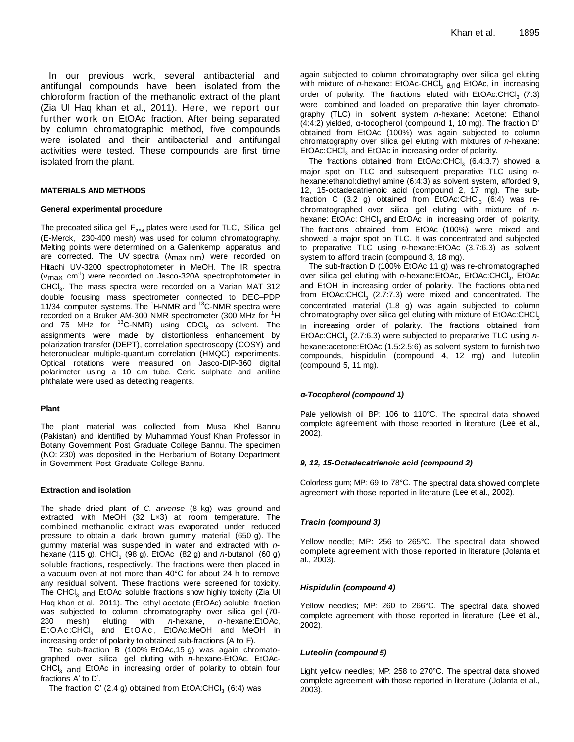In our previous work, several antibacterial and antifungal compounds have been isolated from the chloroform fraction of the methanolic extract of the plant (Zia Ul Haq khan et al., 2011). Here, we report our further work on EtOAc fraction. After being separated by column chromatographic method, five compounds were isolated and their antibacterial and antifungal activities were tested. These compounds are first time isolated from the plant.

#### **MATERIALS AND METHODS**

#### **General experimental procedure**

The precoated silica gel  $\, {\sf F}_{254}$  plates were used for TLC, Silica gel (E-Merck, 230-400 mesh) was used for column chromatography. Melting points were determined on a Gallenkemp apparatus and are corrected. The UV spectra (λmax nm) were recorded on Hitachi UV-3200 spectrophotometer in MeOH. The IR spectra (v<sub>max</sub> cm<sup>-1</sup>) were recorded on Jasco-320A spectrophotometer in CHCl<sub>3</sub>. The mass spectra were recorded on a Varian MAT 312 double focusing mass spectrometer connected to DEC–PDP 11/34 computer systems. The <sup>1</sup>H**-**NMR and <sup>13</sup>C-NMR spectra were recorded on a Bruker AM-300 NMR spectrometer (300 MHz for <sup>1</sup>H and 75 MHz for <sup>13</sup>C-NMR) using CDCl<sub>3</sub> as solvent. The assignments were made by distortionless enhancement by polarization transfer (DEPT), correlation spectroscopy (COSY) and heteronuclear multiple-quantum correlation (HMQC) experiments. Optical rotations were measured on Jasco-DIP-360 digital polarimeter using a 10 cm tube. Ceric sulphate and aniline phthalate were used as detecting reagents.

#### **Plant**

The plant material was collected from Musa Khel Bannu (Pakistan) and identified by Muhammad Yousf Khan Professor in Botany Government Post Graduate College Bannu. The specimen (NO: 230) was deposited in the Herbarium of Botany Department in Government Post Graduate College Bannu.

#### **Extraction and isolation**

The shade dried plant of *C. arvense* (8 kg) was ground and extracted with MeOH (32 L×3) at room temperature. The combined methanolic extract was evaporated under reduced pressure to obtain a dark brown gummy material (650 g). The gummy material was suspended in water and extracted with *n*hexane (115 g), CHCl 3 (98 g), EtOAc (82 g) and *n*-butanol (60 g) soluble fractions, respectively. The fractions were then placed in a vacuum oven at not more than 40°C for about 24 h to remove any residual solvent. These fractions were screened for toxicity. The CHCI<sub>3</sub> and EtOAc soluble fractions show highly toxicity (Zia UI Haq khan et al., 2011). The ethyl acetate (EtOAc) soluble fraction was subjected to column chromatography over silica gel (70- 230 mesh) eluting with *n*-hexane, *n* -hexane:EtOAc, EtOAc:CHCl<sub>3</sub> and EtOAc, EtOAc:MeOH and MeOH in increasing order of polarity to obtained sub-fractions (A to F).

The sub-fraction B (100% EtOAc,15 g) was again chromatographed over silica gel eluting with *n*-hexane-EtOAc, EtOAc-CHCI<sub>3</sub> and EtOAc in increasing order of polarity to obtain four fractions A' to D'.

The fraction C' (2.4 g) obtained from  $EtOA:CHCl<sub>3</sub>$  (6:4) was

again subjected to column chromatography over silica gel eluting with mixture of *n*-hexane: EtOAc-CHCl <sup>3</sup> and EtOAc, in increasing order of polarity. The fractions eluted with EtOAc:CHCl<sub>3</sub> (7:3) were combined and loaded on preparative thin layer chromatography (TLC) in solvent system *n*-hexane: Acetone: Ethanol (4:4:2) yielded, α-tocopherol (compound 1, 10 mg). The fraction D' obtained from EtOAc (100%) was again subjected to column chromatography over silica gel eluting with mixtures of *n*-hexane: EtOAc:CHCl<sub>3</sub> and EtOAc in increasing order of polarity.

The fractions obtained from EtOAc:CHCl<sub>3</sub> (6.4:3.7) showed a major spot on TLC and subsequent preparative TLC using *n*hexane:ethanol:diethyl amine (6:4:3) as solvent system, afforded 9, 12, 15-octadecatrienoic acid (compound 2, 17 mg). The subfraction C (3.2 g) obtained from EtOAc:CHCl<sub>3</sub> (6:4) was rechromatographed over silica gel eluting with mixture of *n*hexane: EtOAc: CHCl<sub>3</sub> and EtOAc in increasing order of polarity. The fractions obtained from EtOAc (100%) were mixed and showed a major spot on TLC. It was concentrated and subjected to preparative TLC using *n*-hexane:EtOAc (3.7:6.3) as solvent system to afford tracin (compound 3, 18 mg).

The sub-fraction D (100% EtOAc 11 g) was re-chromatographed over silica gel eluting with *n*-hexane:EtOAc, EtOAc:CHCl<sub>3</sub>, EtOAc and EtOH in increasing order of polarity. The fractions obtained from EtOAc:CHCl<sub>3</sub> (2.7:7.3) were mixed and concentrated. The concentrated material (1.8 g) was again subjected to column chromatography over silica gel eluting with mixture of  $\mathsf{EtoAcc:CHCl}_{3}$ in increasing order of polarity. The fractions obtained from EtOAc:CHCl 3 (2.7:6.3) were subjected to preparative TLC using *n*hexane:acetone:EtOAc (1.5:2.5:6) as solvent system to furnish two compounds, hispidulin (compound 4, 12 mg) and luteolin (compound 5, 11 mg).

#### *α-Tocopherol (compound 1)*

Pale yellowish oil BP: 106 to 110°C. The spectral data showed complete agreement with those reported in literature (Lee et al., 2002).

#### *9, 12, 15-Octadecatrienoic acid (compound 2)*

Colorless gum; MP: 69 to 78°C. The spectral data showed complete agreement with those reported in literature (Lee et al., 2002).

#### *Tracin (compound 3)*

Yellow needle; MP: 256 to 265°C. The spectral data showed complete agreement with those reported in literature (Jolanta et al., 2003).

#### *Hispidulin (compound 4)*

Yellow needles; MP: 260 to 266°C. The spectral data showed complete agreement with those reported in literature (Lee et al., 2002).

#### *Luteolin (compound 5)*

Light yellow needles; MP: 258 to 270°C. The spectral data showed complete agreement with those reported in literature (Jolanta et al., 2003).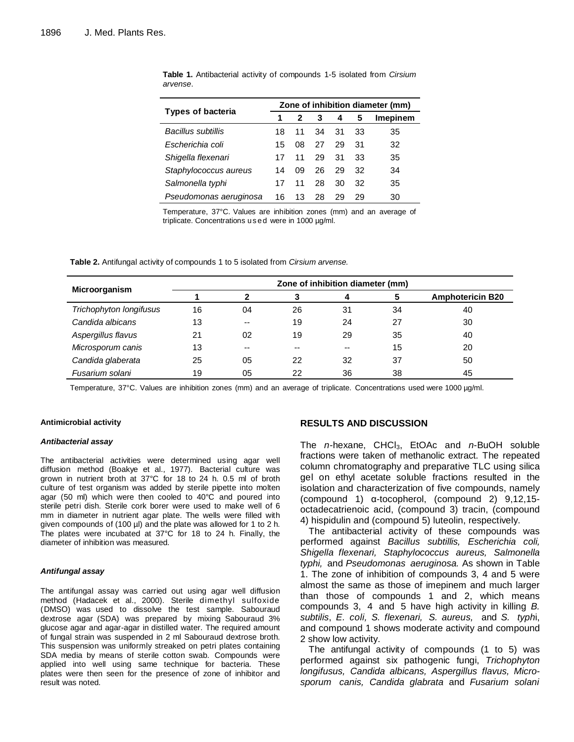|                          | Zone of inhibition diameter (mm) |    |    |    |    |                 |  |
|--------------------------|----------------------------------|----|----|----|----|-----------------|--|
| <b>Types of bacteria</b> | 1                                | 2  | 3  | 4  | 5  | <b>Imepinem</b> |  |
| Bacillus subtillis       | 18                               | 11 | 34 | 31 | 33 | 35              |  |
| Escherichia coli         | 15                               | 08 | 27 | 29 | 31 | 32              |  |
| Shigella flexenari       | 17                               | 11 | 29 | 31 | 33 | 35              |  |
| Staphylococcus aureus    | 14                               | 09 | 26 | 29 | 32 | 34              |  |
| Salmonella typhi         | 17                               | 11 | 28 | 30 | 32 | 35              |  |
| Pseudomonas aeruginosa   | 16                               | 13 | 28 | 29 | 29 | 30              |  |

**Table 1.** Antibacterial activity of compounds 1-5 isolated from *Cirsium arvense*.

Temperature, 37°C. Values are inhibition zones (mm) and an average of triplicate. Concentrations us e d were in 1000 µg/ml.

**Table 2.** Antifungal activity of compounds 1 to 5 isolated from *Cirsium arvense.*

| Microorganism           | Zone of inhibition diameter (mm) |    |    |    |    |                         |  |  |  |
|-------------------------|----------------------------------|----|----|----|----|-------------------------|--|--|--|
|                         |                                  | 2  | 3  | 4  |    | <b>Amphotericin B20</b> |  |  |  |
| Trichophyton longifusus | 16                               | 04 | 26 | 31 | 34 | 40                      |  |  |  |
| Candida albicans        | 13                               | -- | 19 | 24 | 27 | 30                      |  |  |  |
| Aspergillus flavus      | 21                               | 02 | 19 | 29 | 35 | 40                      |  |  |  |
| Microsporum canis       | 13                               | -- | -- |    | 15 | 20                      |  |  |  |
| Candida glaberata       | 25                               | 05 | 22 | 32 | 37 | 50                      |  |  |  |
| Fusarium solani         | 19                               | 05 | 22 | 36 | 38 | 45                      |  |  |  |

Temperature, 37°C. Values are inhibition zones (mm) and an average of triplicate. Concentrations used were 1000 µg/ml.

#### **Antimicrobial activity**

#### *Antibacterial assay*

The antibacterial activities were determined using agar well diffusion method (Boakye et al., 1977). Bacterial culture was grown in nutrient broth at 37°C for 18 to 24 h. 0.5 ml of broth culture of test organism was added by sterile pipette into molten agar (50 ml) which were then cooled to 40°C and poured into sterile petri dish. Sterile cork borer were used to make well of 6 mm in diameter in nutrient agar plate. The wells were filled with given compounds of (100 µl) and the plate was allowed for 1 to 2 h. The plates were incubated at 37°C for 18 to 24 h. Finally, the diameter of inhibition was measured.

#### *Antifungal assay*

The antifungal assay was carried out using agar well diffusion method (Hadacek et al., 2000). Sterile dimethyl sulfoxide (DMSO) was used to dissolve the test sample. Sabouraud dextrose agar (SDA) was prepared by mixing Sabouraud 3% glucose agar and agar-agar in distilled water. The required amount of fungal strain was suspended in 2 ml Sabouraud dextrose broth. This suspension was uniformly streaked on petri plates containing SDA media by means of sterile cotton swab. Compounds were applied into well using same technique for bacteria. These plates were then seen for the presence of zone of inhibitor and result was noted.

#### **RESULTS AND DISCUSSION**

The *n*-hexane, CHCl3, EtOAc and *n*-BuOH soluble fractions were taken of methanolic extract. The repeated column chromatography and preparative TLC using silica gel on ethyl acetate soluble fractions resulted in the isolation and characterization of five compounds, namely (compound 1) α-tocopherol, (compound 2) 9,12,15 octadecatrienoic acid, (compound 3) tracin, (compound 4) hispidulin and (compound 5) luteolin, respectively.

The antibacterial activity of these compounds was performed against *Bacillus subtillis, Escherichia coli, Shigella flexenari, Staphylococcus aureus, Salmonella typhi,* and *Pseudomonas aeruginosa.* As shown in Table 1. The zone of inhibition of compounds 3, 4 and 5 were almost the same as those of imepinem and much larger than those of compounds 1 and 2, which means compounds 3, 4 and 5 have high activity in killing *B. subtilis*, *E. coli, S. flexenari, S. aureus,* and *S. typh*i, and compound 1 shows moderate activity and compound 2 show low activity.

The antifungal activity of compounds (1 to 5) was performed against six pathogenic fungi, *Trichophyton longifusus, Candida albicans, Aspergillus flavus, Microsporum canis, Candida glabrata* and *Fusarium solani*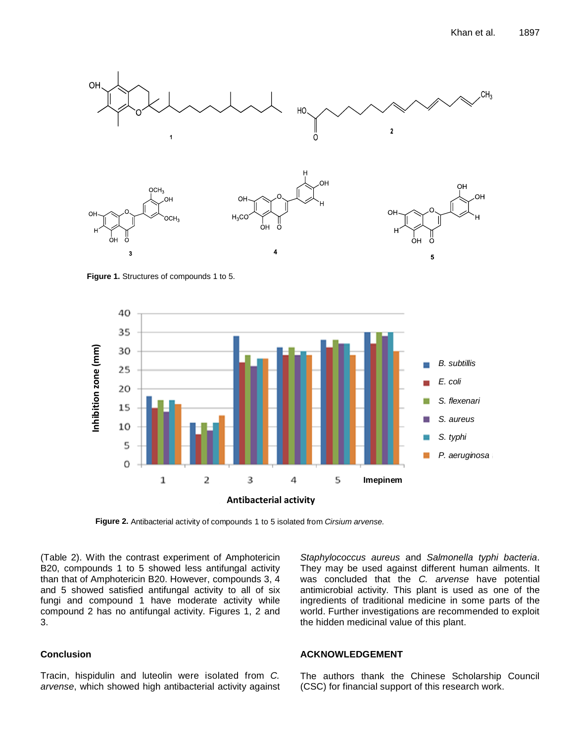

**Figure 1.** Structures of compounds 1 to 5.



**Figure 2.** Antibacterial activity of compounds 1 to 5 isolated from *Cirsium arvense.*

(Table 2). With the contrast experiment of Amphotericin B20, compounds 1 to 5 showed less antifungal activity than that of Amphotericin B20. However, compounds 3, 4 and 5 showed satisfied antifungal activity to all of six fungi and compound 1 have moderate activity while compound 2 has no antifungal activity. Figures 1, 2 and 3.

### **Conclusion**

Tracin, hispidulin and luteolin were isolated from *C. arvense*, which showed high antibacterial activity against

*Staphylococcus aureus* and *Salmonella typhi bacteria*. They may be used against different human ailments. It was concluded that the *C. arvense* have potential antimicrobial activity. This plant is used as one of the ingredients of traditional medicine in some parts of the world. Further investigations are recommended to exploit the hidden medicinal value of this plant.

#### **ACKNOWLEDGEMENT**

The authors thank the Chinese Scholarship Council (CSC) for financial support of this research work.